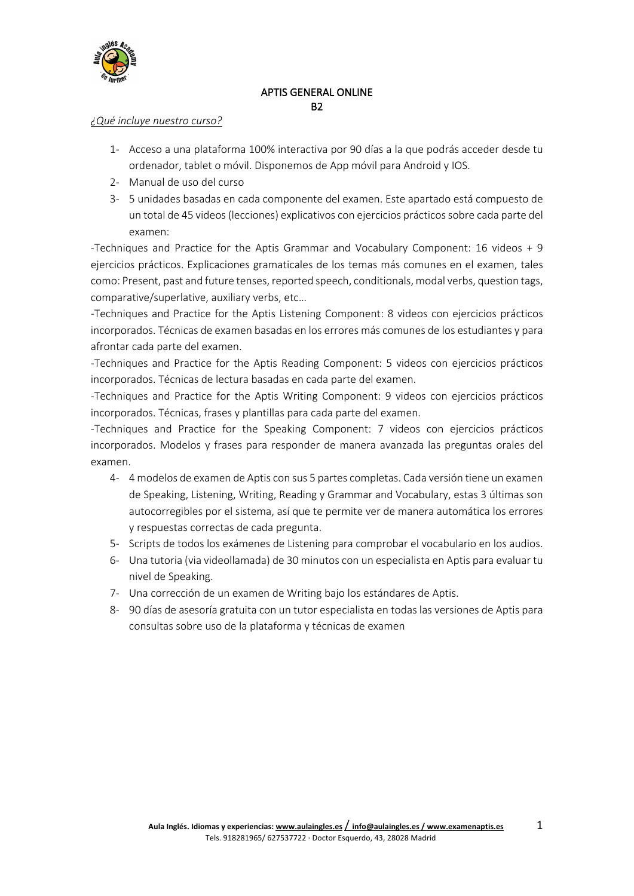

## APTIS GENERAL ONLINE B2

#### *¿Qué incluye nuestro curso?*

- 1- Acceso a una plataforma 100% interactiva por 90 días a la que podrás acceder desde tu ordenador, tablet o móvil. Disponemos de App móvil para Android y IOS.
- 2- Manual de uso del curso
- 3- 5 unidades basadas en cada componente del examen. Este apartado está compuesto de un total de 45 videos (lecciones) explicativos con ejercicios prácticossobre cada parte del examen:

-Techniques and Practice for the Aptis Grammar and Vocabulary Component: 16 videos + 9 ejercicios prácticos. Explicaciones gramaticales de los temas más comunes en el examen, tales como: Present, past and future tenses, reported speech, conditionals, modal verbs, question tags, comparative/superlative, auxiliary verbs, etc…

-Techniques and Practice for the Aptis Listening Component: 8 videos con ejercicios prácticos incorporados. Técnicas de examen basadas en los errores más comunes de los estudiantes y para afrontar cada parte del examen.

-Techniques and Practice for the Aptis Reading Component: 5 videos con ejercicios prácticos incorporados. Técnicas de lectura basadas en cada parte del examen.

-Techniques and Practice for the Aptis Writing Component: 9 videos con ejercicios prácticos incorporados. Técnicas, frases y plantillas para cada parte del examen.

-Techniques and Practice for the Speaking Component: 7 videos con ejercicios prácticos incorporados. Modelos y frases para responder de manera avanzada las preguntas orales del examen.

- 4- 4 modelos de examen de Aptis con sus 5 partes completas. Cada versión tiene un examen de Speaking, Listening, Writing, Reading y Grammar and Vocabulary, estas 3 últimas son autocorregibles por el sistema, así que te permite ver de manera automática los errores y respuestas correctas de cada pregunta.
- 5- Scripts de todos los exámenes de Listening para comprobar el vocabulario en los audios.
- 6- Una tutoria (via videollamada) de 30 minutos con un especialista en Aptis para evaluar tu nivel de Speaking.
- 7- Una corrección de un examen de Writing bajo los estándares de Aptis.
- 8- 90 días de asesoría gratuita con un tutor especialista en todas las versiones de Aptis para consultas sobre uso de la plataforma y técnicas de examen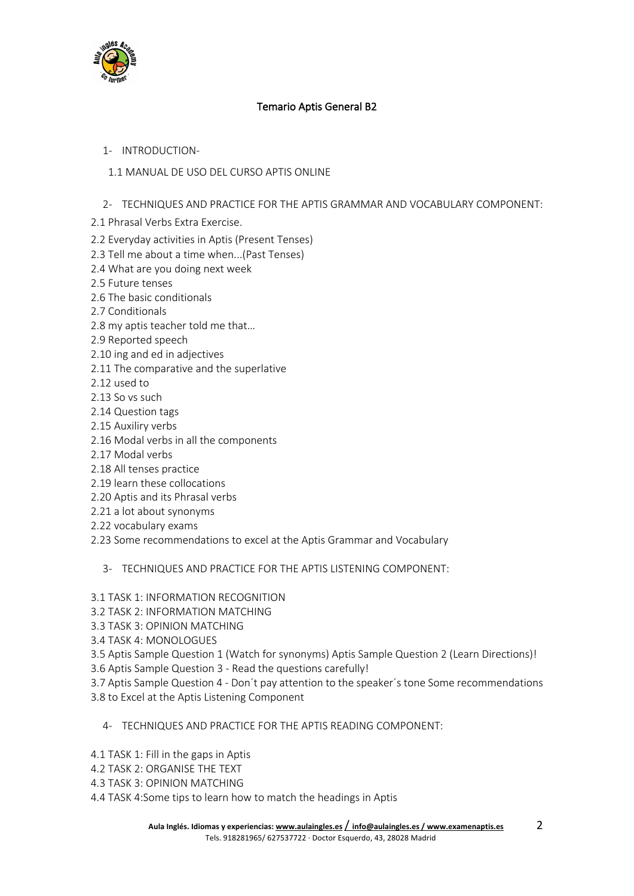

## Temario Aptis General B2

## 1- INTRODUCTION-

## 1.1 MANUAL DE USO DEL CURSO APTIS ONLINE

## 2- TECHNIQUES AND PRACTICE FOR THE APTIS GRAMMAR AND VOCABULARY COMPONENT:

- 2.1 Phrasal Verbs Extra Exercise.
- 2.2 Everyday activities in Aptis (Present Tenses)
- 2.3 Tell me about a time when...(Past Tenses)
- 2.4 What are you doing next week
- 2.5 Future tenses
- 2.6 The basic conditionals
- 2.7 Conditionals
- 2.8 my aptis teacher told me that…
- 2.9 Reported speech
- 2.10 ing and ed in adjectives
- 2.11 The comparative and the superlative
- 2.12 used to
- 2.13 So vs such
- 2.14 Question tags
- 2.15 Auxiliry verbs
- 2.16 Modal verbs in all the components
- 2.17 Modal verbs
- 2.18 All tenses practice
- 2.19 learn these collocations
- 2.20 Aptis and its Phrasal verbs
- 2.21 a lot about synonyms
- 2.22 vocabulary exams
- 2.23 Some recommendations to excel at the Aptis Grammar and Vocabulary

## 3- TECHNIQUES AND PRACTICE FOR THE APTIS LISTENING COMPONENT:

- 3.1 TASK 1: INFORMATION RECOGNITION
- 3.2 TASK 2: INFORMATION MATCHING
- 3.3 TASK 3: OPINION MATCHING
- 3.4 TASK 4: MONOLOGUES
- 3.5 Aptis Sample Question 1 (Watch for synonyms) Aptis Sample Question 2 (Learn Directions)!
- 3.6 Aptis Sample Question 3 Read the questions carefully!
- 3.7 Aptis Sample Question 4 Don´t pay attention to the speaker´s tone Some recommendations 3.8 to Excel at the Aptis Listening Component
	- 4- TECHNIQUES AND PRACTICE FOR THE APTIS READING COMPONENT:
- 4.1 TASK 1: Fill in the gaps in Aptis
- 4.2 TASK 2: ORGANISE THE TEXT
- 4.3 TASK 3: OPINION MATCHING
- 4.4 TASK 4:Some tips to learn how to match the headings in Aptis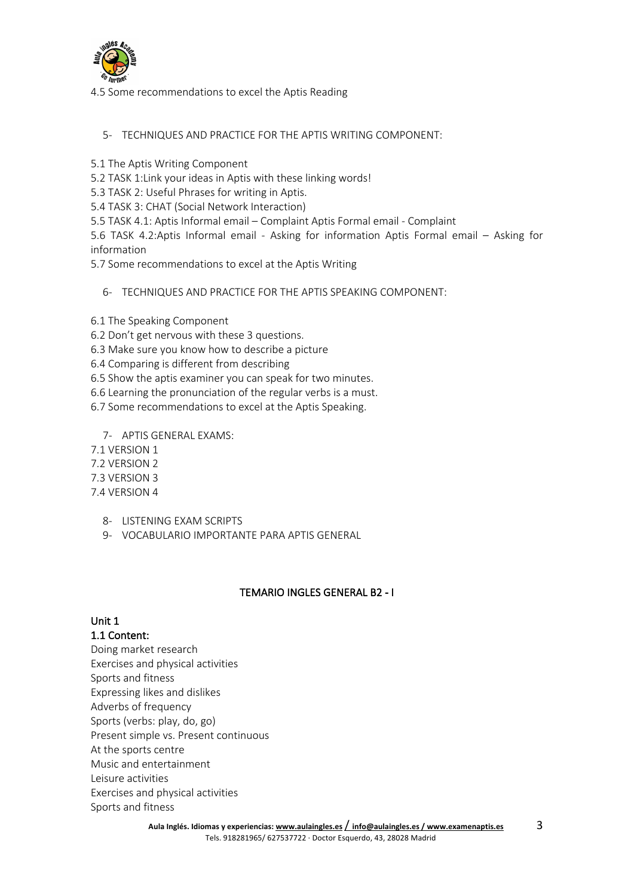

4.5 Some recommendations to excel the Aptis Reading

#### 5- TECHNIQUES AND PRACTICE FOR THE APTIS WRITING COMPONENT:

- 5.1 The Aptis Writing Component
- 5.2 TASK 1:Link your ideas in Aptis with these linking words!
- 5.3 TASK 2: Useful Phrases for writing in Aptis.
- 5.4 TASK 3: CHAT (Social Network Interaction)
- 5.5 TASK 4.1: Aptis Informal email Complaint Aptis Formal email Complaint

5.6 TASK 4.2:Aptis Informal email - Asking for information Aptis Formal email – Asking for information

- 5.7 Some recommendations to excel at the Aptis Writing
	- 6- TECHNIQUES AND PRACTICE FOR THE APTIS SPEAKING COMPONENT:
- 6.1 The Speaking Component
- 6.2 Don't get nervous with these 3 questions.
- 6.3 Make sure you know how to describe a picture
- 6.4 Comparing is different from describing
- 6.5 Show the aptis examiner you can speak for two minutes.
- 6.6 Learning the pronunciation of the regular verbs is a must.
- 6.7 Some recommendations to excel at the Aptis Speaking.
	- 7- APTIS GENERAL EXAMS:
- 7.1 VERSION 1
- 7.2 VERSION 2
- 7.3 VERSION 3
- 7.4 VERSION 4
	- 8- LISTENING EXAM SCRIPTS
	- 9- VOCABULARIO IMPORTANTE PARA APTIS GENERAL

#### TEMARIO INGLES GENERAL B2 - I

#### Unit 1

#### 1.1 Content:

Doing market research Exercises and physical activities Sports and fitness Expressing likes and dislikes Adverbs of frequency Sports (verbs: play, do, go) Present simple vs. Present continuous At the sports centre Music and entertainment Leisure activities Exercises and physical activities Sports and fitness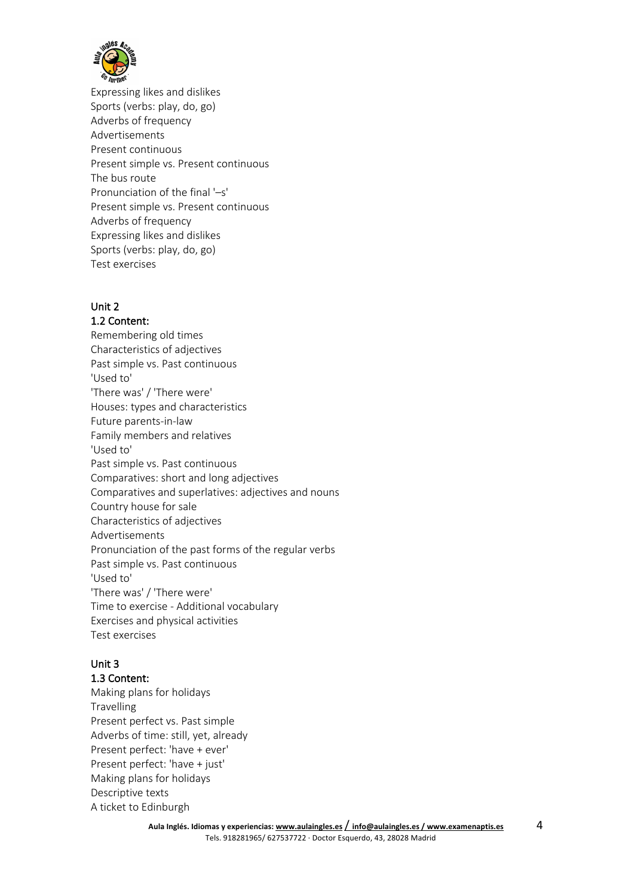

Expressing likes and dislikes Sports (verbs: play, do, go) Adverbs of frequency Advertisements Present continuous Present simple vs. Present continuous The bus route Pronunciation of the final '–s' Present simple vs. Present continuous Adverbs of frequency Expressing likes and dislikes Sports (verbs: play, do, go) Test exercises

## Unit 2

#### 1.2 Content:

Remembering old times Characteristics of adjectives Past simple vs. Past continuous 'Used to' 'There was' / 'There were' Houses: types and characteristics Future parents-in-law Family members and relatives 'Used to' Past simple vs. Past continuous Comparatives: short and long adjectives Comparatives and superlatives: adjectives and nouns Country house for sale Characteristics of adjectives Advertisements Pronunciation of the past forms of the regular verbs Past simple vs. Past continuous 'Used to' 'There was' / 'There were' Time to exercise - Additional vocabulary Exercises and physical activities Test exercises

## Unit 3

#### 1.3 Content:

Making plans for holidays **Travelling** Present perfect vs. Past simple Adverbs of time: still, yet, already Present perfect: 'have + ever' Present perfect: 'have + just' Making plans for holidays Descriptive texts A ticket to Edinburgh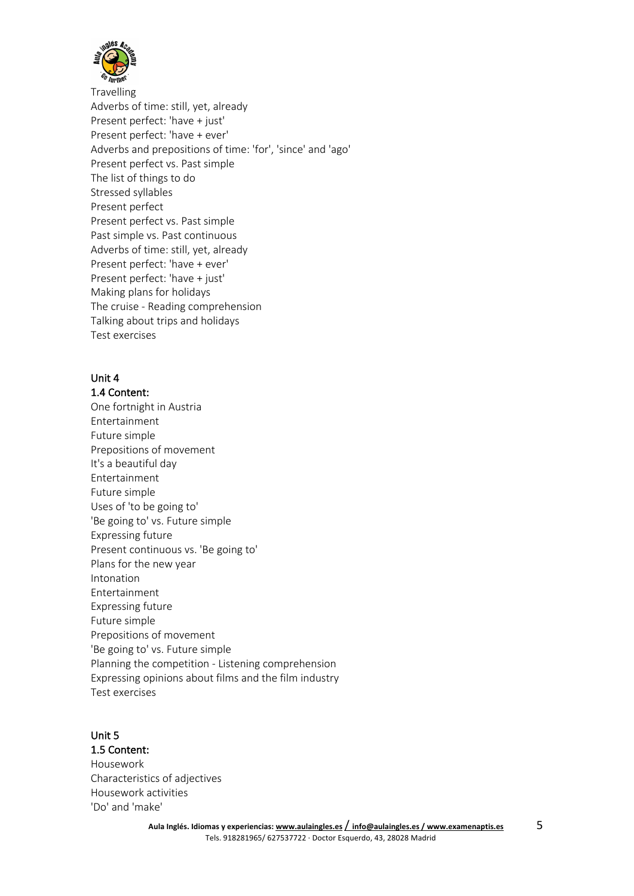

Travelling Adverbs of time: still, yet, already Present perfect: 'have + just' Present perfect: 'have + ever' Adverbs and prepositions of time: 'for', 'since' and 'ago' Present perfect vs. Past simple The list of things to do Stressed syllables Present perfect Present perfect vs. Past simple Past simple vs. Past continuous Adverbs of time: still, yet, already Present perfect: 'have + ever' Present perfect: 'have + just' Making plans for holidays The cruise - Reading comprehension Talking about trips and holidays Test exercises

## Unit 4

1.4 Content: One fortnight in Austria Entertainment Future simple Prepositions of movement It's a beautiful day Entertainment Future simple Uses of 'to be going to' 'Be going to' vs. Future simple Expressing future Present continuous vs. 'Be going to' Plans for the new year Intonation Entertainment Expressing future Future simple Prepositions of movement 'Be going to' vs. Future simple Planning the competition - Listening comprehension Expressing opinions about films and the film industry Test exercises

#### Unit 5

1.5 Content: Housework Characteristics of adjectives Housework activities 'Do' and 'make'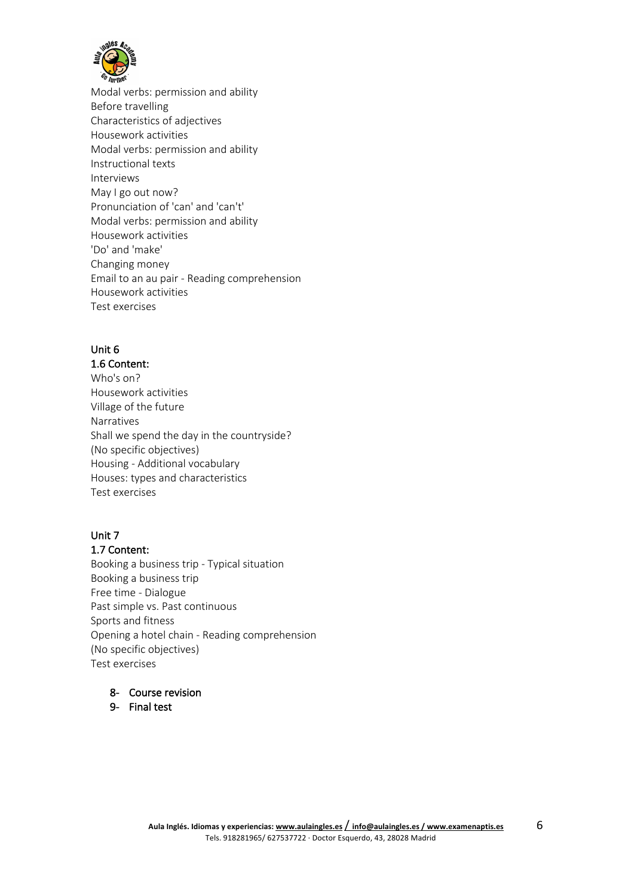

Modal verbs: permission and ability Before travelling Characteristics of adjectives Housework activities Modal verbs: permission and ability Instructional texts Interviews May I go out now? Pronunciation of 'can' and 'can't' Modal verbs: permission and ability Housework activities 'Do' and 'make' Changing money Email to an au pair - Reading comprehension Housework activities Test exercises

## Unit 6

1.6 Content: Who's on? Housework activities Village of the future Narratives Shall we spend the day in the countryside? (No specific objectives) Housing - Additional vocabulary Houses: types and characteristics Test exercises

## Unit 7

#### 1.7 Content:

Booking a business trip - Typical situation Booking a business trip Free time - Dialogue Past simple vs. Past continuous Sports and fitness Opening a hotel chain - Reading comprehension (No specific objectives) Test exercises

## 8- Course revision

9- Final test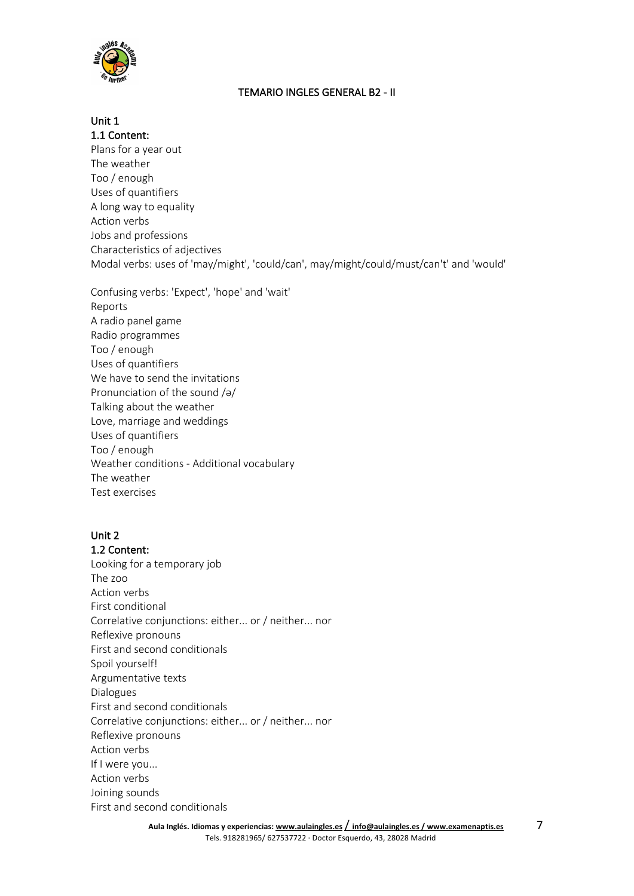

## TEMARIO INGLES GENERAL B2 - II

# Unit 1

1.1 Content: Plans for a year out The weather Too / enough Uses of quantifiers A long way to equality Action verbs Jobs and professions Characteristics of adjectives Modal verbs: uses of 'may/might', 'could/can', may/might/could/must/can't' and 'would'

Confusing verbs: 'Expect', 'hope' and 'wait' Reports A radio panel game Radio programmes Too / enough Uses of quantifiers We have to send the invitations Pronunciation of the sound /ə/ Talking about the weather Love, marriage and weddings Uses of quantifiers Too / enough Weather conditions - Additional vocabulary The weather Test exercises

## Unit 2

1.2 Content: Looking for a temporary job The zoo Action verbs First conditional Correlative conjunctions: either... or / neither... nor Reflexive pronouns First and second conditionals Spoil yourself! Argumentative texts Dialogues First and second conditionals Correlative conjunctions: either... or / neither... nor Reflexive pronouns Action verbs If I were you... Action verbs Joining sounds First and second conditionals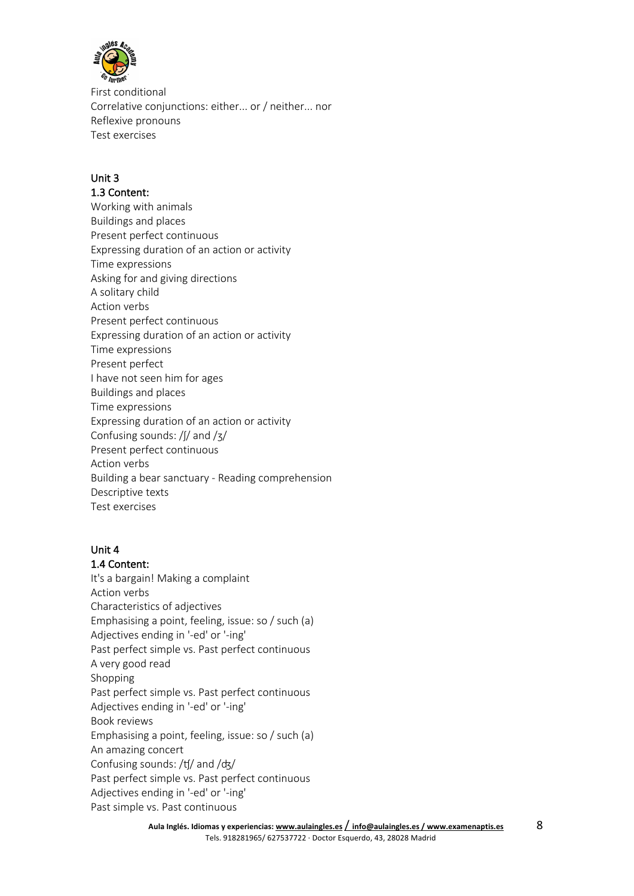

First conditional Correlative conjunctions: either... or / neither... nor Reflexive pronouns Test exercises

## Unit 3

#### 1.3 Content:

Working with animals Buildings and places Present perfect continuous Expressing duration of an action or activity Time expressions Asking for and giving directions A solitary child Action verbs Present perfect continuous Expressing duration of an action or activity Time expressions Present perfect I have not seen him for ages Buildings and places Time expressions Expressing duration of an action or activity Confusing sounds: /ʃ/ and /ʒ/ Present perfect continuous Action verbs Building a bear sanctuary - Reading comprehension Descriptive texts Test exercises

#### Unit 4

#### 1.4 Content:

It's a bargain! Making a complaint Action verbs Characteristics of adjectives Emphasising a point, feeling, issue: so / such (a) Adjectives ending in '-ed' or '-ing' Past perfect simple vs. Past perfect continuous A very good read Shopping Past perfect simple vs. Past perfect continuous Adjectives ending in '-ed' or '-ing' Book reviews Emphasising a point, feeling, issue: so / such (a) An amazing concert Confusing sounds: /ʧ/ and /ʤ/ Past perfect simple vs. Past perfect continuous Adjectives ending in '-ed' or '-ing' Past simple vs. Past continuous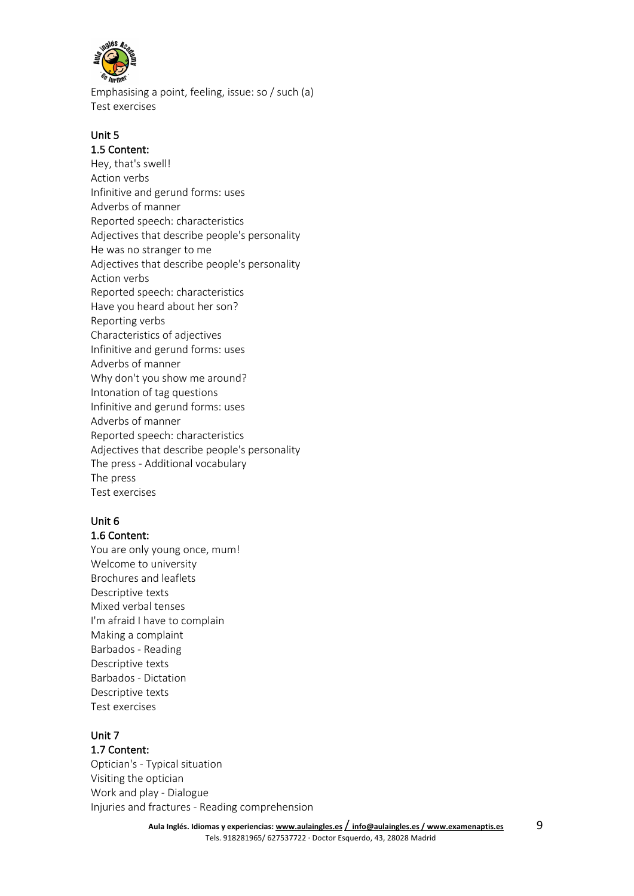

Emphasising a point, feeling, issue: so / such (a) Test exercises

## Unit 5

#### 1.5 Content:

Hey, that's swell! Action verbs Infinitive and gerund forms: uses Adverbs of manner Reported speech: characteristics Adjectives that describe people's personality He was no stranger to me Adjectives that describe people's personality Action verbs Reported speech: characteristics Have you heard about her son? Reporting verbs Characteristics of adjectives Infinitive and gerund forms: uses Adverbs of manner Why don't you show me around? Intonation of tag questions Infinitive and gerund forms: uses Adverbs of manner Reported speech: characteristics Adjectives that describe people's personality The press - Additional vocabulary The press Test exercises

## Unit 6

## 1.6 Content:

You are only young once, mum! Welcome to university Brochures and leaflets Descriptive texts Mixed verbal tenses I'm afraid I have to complain Making a complaint Barbados - Reading Descriptive texts Barbados - Dictation Descriptive texts Test exercises

#### Unit 7

#### 1.7 Content:

Optician's - Typical situation Visiting the optician Work and play - Dialogue Injuries and fractures - Reading comprehension